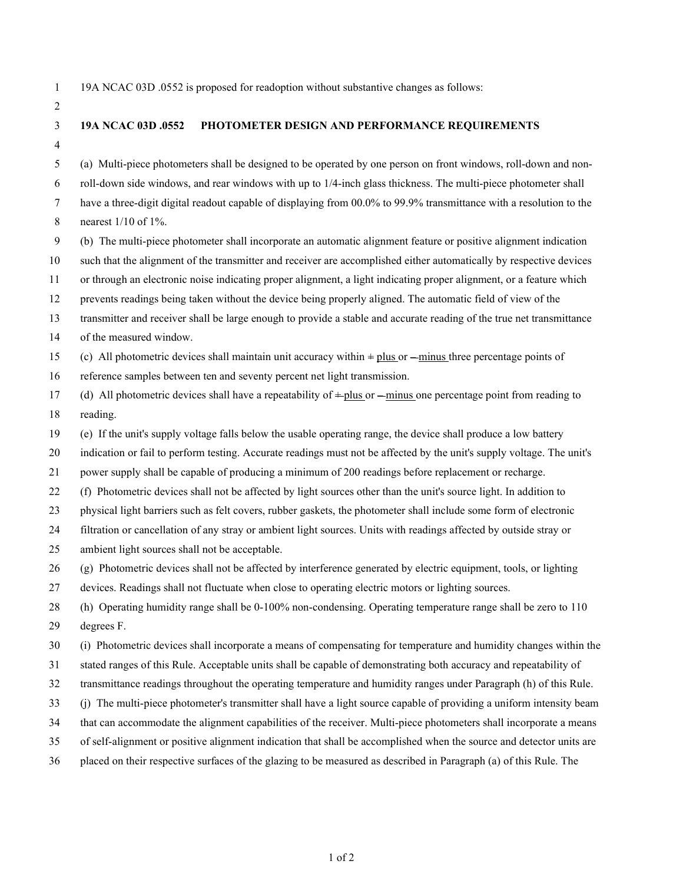19A NCAC 03D .0552 is proposed for readoption without substantive changes as follows:

## **19A NCAC 03D .0552 PHOTOMETER DESIGN AND PERFORMANCE REQUIREMENTS**

(a) Multi-piece photometers shall be designed to be operated by one person on front windows, roll-down and non-

roll-down side windows, and rear windows with up to 1/4-inch glass thickness. The multi-piece photometer shall

have a three-digit digital readout capable of displaying from 00.0% to 99.9% transmittance with a resolution to the

- nearest 1/10 of 1%.
- (b) The multi-piece photometer shall incorporate an automatic alignment feature or positive alignment indication
- such that the alignment of the transmitter and receiver are accomplished either automatically by respective devices

or through an electronic noise indicating proper alignment, a light indicating proper alignment, or a feature which

prevents readings being taken without the device being properly aligned. The automatic field of view of the

transmitter and receiver shall be large enough to provide a stable and accurate reading of the true net transmittance

of the measured window.

15 (c) All photometric devices shall maintain unit accuracy within  $+\text{plus}$  or  $-\text{minus}$  three percentage points of

- reference samples between ten and seventy percent net light transmission.
- 17 (d) All photometric devices shall have a repeatability of  $\pm$  plus or  $\pm$  minus one percentage point from reading to reading.

(e) If the unit's supply voltage falls below the usable operating range, the device shall produce a low battery

indication or fail to perform testing. Accurate readings must not be affected by the unit's supply voltage. The unit's

power supply shall be capable of producing a minimum of 200 readings before replacement or recharge.

(f) Photometric devices shall not be affected by light sources other than the unit's source light. In addition to

physical light barriers such as felt covers, rubber gaskets, the photometer shall include some form of electronic

filtration or cancellation of any stray or ambient light sources. Units with readings affected by outside stray or

- ambient light sources shall not be acceptable.
- (g) Photometric devices shall not be affected by interference generated by electric equipment, tools, or lighting
- devices. Readings shall not fluctuate when close to operating electric motors or lighting sources.
- (h) Operating humidity range shall be 0-100% non-condensing. Operating temperature range shall be zero to 110
- degrees F.
- (i) Photometric devices shall incorporate a means of compensating for temperature and humidity changes within the
- stated ranges of this Rule. Acceptable units shall be capable of demonstrating both accuracy and repeatability of
- transmittance readings throughout the operating temperature and humidity ranges under Paragraph (h) of this Rule.
- (j) The multi-piece photometer's transmitter shall have a light source capable of providing a uniform intensity beam
- that can accommodate the alignment capabilities of the receiver. Multi-piece photometers shall incorporate a means
- of self-alignment or positive alignment indication that shall be accomplished when the source and detector units are
- placed on their respective surfaces of the glazing to be measured as described in Paragraph (a) of this Rule. The